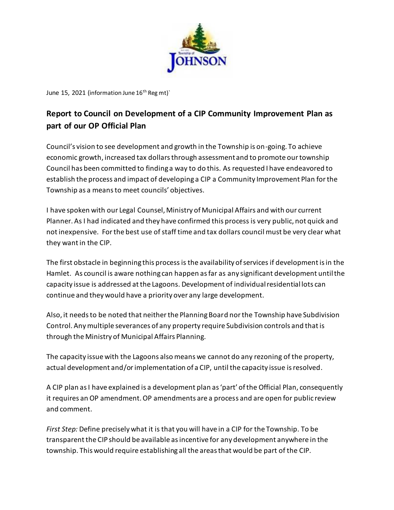

June 15, 2021 (information June 16<sup>th</sup> Reg mt)

## **Report to Council on Development of a CIP Community Improvement Plan as part of our OP Official Plan**

Council's vision to see development and growth in the Township is on-going. To achieve economic growth, increased tax dollars through assessment and to promote our township Council has been committed to finding a way to do this. As requested I have endeavored to establish the process and impact of developing a CIP a Community Improvement Plan for the Township as a means to meet councils' objectives.

I have spoken with our Legal Counsel, Ministry of Municipal Affairs and with our current Planner. As I had indicated and they have confirmed this process is very public, not quick and not inexpensive. For the best use of staff time and tax dollars council must be very clear what they want in the CIP.

The first obstacle in beginning this process is the availability of services if development is in the Hamlet. As council is aware nothing can happen as far as any significant development until the capacity issue is addressed at the Lagoons. Development of individual residential lots can continue and they would have a priority over any large development.

Also, it needs to be noted that neither the Planning Board nor the Township have Subdivision Control. Any multiple severances of any property require Subdivision controls and that is through the Ministry of Municipal Affairs Planning.

The capacity issue with the Lagoons also means we cannot do any rezoning of the property, actual development and/orimplementation of a CIP, until the capacity issue is resolved.

A CIP plan as I have explained is a development plan as 'part' of the Official Plan, consequently it requires an OP amendment. OP amendments are a process and are open for public review and comment.

*First Step:* Define precisely what it is that you will have in a CIP for the Township. To be transparent the CIP should be available as incentive for any development anywhere in the township. This would require establishing all the areas that would be part of the CIP.